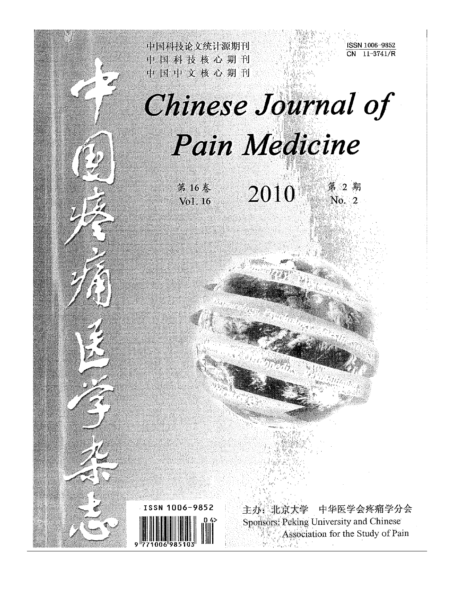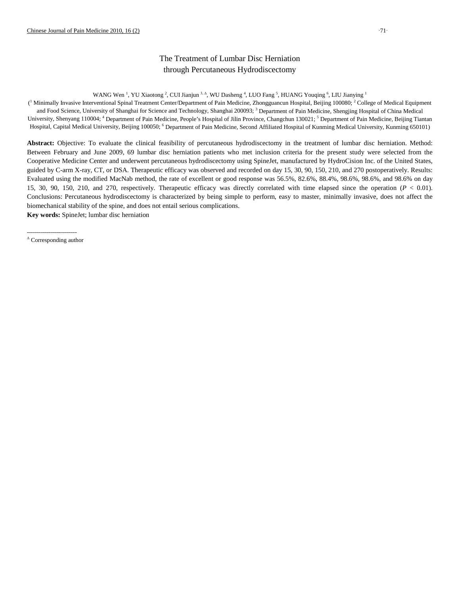# The Treatment of Lumbar Disc Herniation through Percutaneous Hydrodiscectomy

WANG Wen<sup>-1</sup>, YU Xiaotong<sup>-2</sup>, CUI Jianjun <sup>3,  $\Delta$ </sup>, WU Dasheng<sup>-4</sup>, LUO Fang<sup>-5</sup>, HUANG Youqing<sup>-6</sup>, LIU Jianying<sup>-1</sup>

( <sup>1</sup> Minimally Invasive Interventional Spinal Treatment Center/Department of Pain Medicine, Zhongguancun Hospital, Beijing 100080; <sup>2</sup> College of Medical Equipment and Food Science, University of Shanghai for Science and Technology, Shanghai 200093; <sup>3</sup> Department of Pain Medicine, Shengjing Hospital of China Medical University, Shenyang 110004; <sup>4</sup> Department of Pain Medicine, People's Hospital of Jilin Province, Changchun 130021; <sup>5</sup> Department of Pain Medicine, Beijing Tiantan Hospital, Capital Medical University, Beijing 100050; <sup>6</sup> Department of Pain Medicine, Second Affiliated Hospital of Kunming Medical University, Kunming 650101)

**Abstract:** Objective: To evaluate the clinical feasibility of percutaneous hydrodiscectomy in the treatment of lumbar disc herniation. Method: Between February and June 2009, 69 lumbar disc herniation patients who met inclusion criteria for the present study were selected from the Cooperative Medicine Center and underwent percutaneous hydrodiscectomy using SpineJet, manufactured by HydroCision Inc. of the United States, guided by C-arm X-ray, CT, or DSA. Therapeutic efficacy was observed and recorded on day 15, 30, 90, 150, 210, and 270 postoperatively. Results: Evaluated using the modified MacNab method, the rate of excellent or good response was 56.5%, 82.6%, 88.4%, 98.6%, 98.6%, and 98.6% on day 15, 30, 90, 150, 210, and 270, respectively. Therapeutic efficacy was directly correlated with time elapsed since the operation (*P* < 0.01). Conclusions: Percutaneous hydrodiscectomy is characterized by being simple to perform, easy to master, minimally invasive, does not affect the biomechanical stability of the spine, and does not entail serious complications.

**Key words:** SpineJet; lumbar disc herniation

<sup>-------------------------</sup> Δ Corresponding author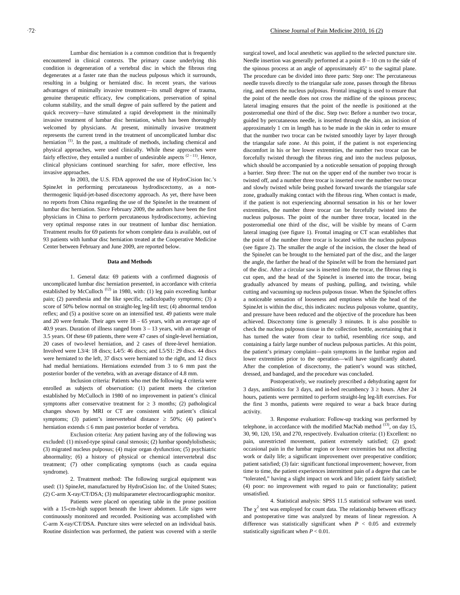Lumbar disc herniation is a common condition that is frequently encountered in clinical contexts. The primary cause underlying this condition is degeneration of a vertebral disc in which the fibrous ring degenerates at a faster rate than the nucleus pulposus which it surrounds, resulting in a bulging or herniated disc. In recent years, the various advantages of minimally invasive treatment—its small degree of trauma, genuine therapeutic efficacy, few complications, preservation of spinal column stability, and the small degree of pain suffered by the patient and quick recovery—have stimulated a rapid development in the minimally invasive treatment of lumbar disc herniation, which has been thoroughly welcomed by physicians. At present, minimally invasive treatment represents the current trend in the treatment of uncomplicated lumbar disc herniation  $(1)$ . In the past, a multitude of methods, including chemical and physical approaches, were used clinically. While these approaches were fairly effective, they entailed a number of undesirable aspects  $(2-11)$ . Hence, clinical physicians continued searching for safer, more effective, less invasive approaches.

In 2003, the U.S. FDA approved the use of HydroCision Inc.'s SpineJet in performing percutaneous hydrodiscectomy, as a nonthermogenic liquid-jet-based discectomy approach. As yet, there have been no reports from China regarding the use of the SpineJet in the treatment of lumbar disc herniation. Since February 2009, the authors have been the first physicians in China to perform percutaneous hydrodiscectomy, achieving very optimal response rates in our treatment of lumbar disc herniation. Treatment results for 69 patients for whom complete data is available, out of 93 patients with lumbar disc herniation treated at the Cooperative Medicine Center between February and June 2009, are reported below.

## **Data and Methods**

1. General data: 69 patients with a confirmed diagnosis of uncomplicated lumbar disc herniation presented, in accordance with criteria established by McCulloch<sup> $(12)$ </sup> in 1980, with: (1) leg pain exceeding lumbar pain; (2) paresthesia and the like specific, radiculopathy symptoms; (3) a score of 50% below normal on straight-leg leg-lift test; (4) abnormal tendon reflex; and (5) a positive score on an intensified test. 49 patients were male and 20 were female. Their ages were 18 – 65 years, with an average age of 40.9 years. Duration of illness ranged from 3 – 13 years, with an average of 3.5 years. Of these 69 patients, there were 47 cases of single-level herniation, 20 cases of two-level herniation, and 2 cases of three-level herniation. Involved were L3/4: 18 discs; L4/5: 46 discs; and L5/S1: 29 discs. 44 discs were herniated to the left, 37 discs were herniated to the right, and 12 discs had medial herniations. Herniations extended from 3 to 6 mm past the posterior border of the vertebra, with an average distance of 4.8 mm.

Inclusion criteria: Patients who met the following 4 criteria were enrolled as subjects of observation: (1) patient meets the criterion established by McCulloch in 1980 of no improvement in patient's clinical symptoms after conservative treatment for  $\geq$  3 months; (2) pathological changes shown by MRI or CT are consistent with patient's clinical symptoms; (3) patient's intervertebral distance  $\geq$  50%; (4) patient's herniation extends  $\leq 6$  mm past posterior border of vertebra.

Exclusion criteria: Any patient having any of the following was excluded: (1) mixed-type spinal canal stenosis; (2) lumbar spondylolisthesis; (3) migrated nucleus pulposus; (4) major organ dysfunction; (5) psychiatric abnormality; (6) a history of physical or chemical intervertebral disc treatment; (7) other complicating symptoms (such as cauda equina syndrome).

2. Treatment method: The following surgical equipment was used: (1) SpineJet, manufactured by HydroCision Inc. of the United States; (2) C-arm X-ray/CT/DSA; (3) multiparameter electrocardiographic monitor.

Patients were placed on operating table in the prone position with a 15-cm-high support beneath the lower abdomen. Life signs were continuously monitored and recorded. Positioning was accomplished with C-arm X-ray/CT/DSA. Puncture sites were selected on an individual basis. Routine disinfection was performed, the patient was covered with a sterile

surgical towel, and local anesthetic was applied to the selected puncture site. Needle insertion was generally performed at a point 8 – 10 cm to the side of the spinous process at an angle of approximately 45° to the sagittal plane. The procedure can be divided into three parts: Step one: The percutaneous needle travels directly to the triangular safe zone, passes through the fibrous ring, and enters the nucleus pulposus. Frontal imaging is used to ensure that the point of the needle does not cross the midline of the spinous process; lateral imaging ensures that the point of the needle is positioned at the posteromedial one third of the disc. Step two: Before a number two trocar, guided by percutaneous needle, is inserted through the skin, an incision of approximately 1 cm in length has to be made in the skin in order to ensure that the number two trocar can be twisted smoothly layer by layer through the triangular safe zone. At this point, if the patient is not experiencing discomfort in his or her lower extremities, the number two trocar can be forcefully twisted through the fibrous ring and into the nucleus pulposus, which should be accompanied by a noticeable sensation of popping through a barrier. Step three: The nut on the upper end of the number two trocar is twisted off, and a number three trocar is inserted over the number two trocar and slowly twisted while being pushed forward towards the triangular safe zone, gradually making contact with the fibrous ring. When contact is made, if the patient is not experiencing abnormal sensation in his or her lower extremities, the number three trocar can be forcefully twisted into the nucleus pulposus. The point of the number three trocar, located in the posteromedial one third of the disc, will be visible by means of C-arm lateral imaging (see figure 1). Frontal imaging or CT scan establishes that the point of the number three trocar is located within the nucleus pulposus (see figure 2). The smaller the angle of the incision, the closer the head of the SpineJet can be brought to the herniated part of the disc, and the larger the angle, the farther the head of the SpineJet will be from the herniated part of the disc. After a circular saw is inserted into the trocar, the fibrous ring is cut open, and the head of the SpineJet is inserted into the trocar, being gradually advanced by means of pushing, pulling, and twisting, while cutting and vacuuming up nucleus pulposus tissue. When the SpineJet offers a noticeable sensation of looseness and emptiness while the head of the SpineJet is within the disc, this indicates: nucleus pulposus volume, quantity, and pressure have been reduced and the objective of the procedure has been achieved. Discectomy time is generally 3 minutes. It is also possible to check the nucleus pulposus tissue in the collection bottle, ascertaining that it has turned the water from clear to turbid, resembling rice soup, and containing a fairly large number of nucleus pulposus particles. At this point, the patient's primary complaint—pain symptoms in the lumbar region and lower extremities prior to the operation—will have significantly abated. After the completion of discectomy, the patient's wound was stitched, dressed, and bandaged, and the procedure was concluded.

Postoperatively, we routinely prescribed a dehydrating agent for 3 days, antibiotics for 3 days, and in-bed recumbency  $3 \ge$  hours. After 24 hours, patients were permitted to perform straight-leg leg-lift exercises. For the first 3 months, patients were required to wear a back brace during activity.

3. Response evaluation: Follow-up tracking was performed by telephone, in accordance with the modified MacNab method  $(13)$ , on day 15, 30, 90, 120, 150, and 270, respectively. Evaluation criteria: (1) Excellent: no pain, unrestricted movement, patient extremely satisfied; (2) good: occasional pain in the lumbar region or lower extremities but not affecting work or daily life; a significant improvement over preoperative condition; patient satisfied; (3) fair: significant functional improvement; however, from time to time, the patient experiences intermittent pain of a degree that can be "tolerated," having a slight impact on work and life; patient fairly satisfied; (4) poor: no improvement with regard to pain or functionality; patient unsatisfied.

4. Statistical analysis: SPSS 11.5 statistical software was used. The  $\chi^2$  test was employed for count data. The relationship between efficacy and postoperative time was analyzed by means of linear regression. A difference was statistically significant when  $P < 0.05$  and extremely statistically significant when *P* < 0.01.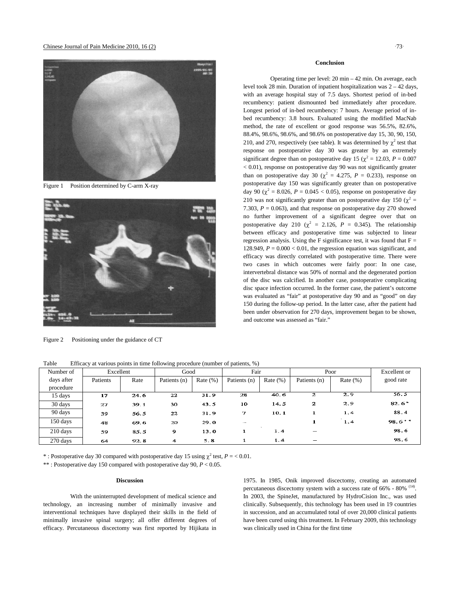Chinese Journal of Pain Medicine  $2010, 16(2)$  73



Figure 1 Position determined by C-arm X-ray



Figure 2 Positioning under the guidance of CT

64

#### **Conclusion**

Operating time per level: 20 min – 42 min. On average, each level took 28 min. Duration of inpatient hospitalization was 2 – 42 days, with an average hospital stay of 7.5 days. Shortest period of in-bed recumbency: patient dismounted bed immediately after procedure. Longest period of in-bed recumbency: 7 hours. Average period of inbed recumbency: 3.8 hours. Evaluated using the modified MacNab method, the rate of excellent or good response was 56.5%, 82.6%, 88.4%, 98.6%, 98.6%, and 98.6% on postoperative day 15, 30, 90, 150, 210, and 270, respectively (see table). It was determined by  $\chi^2$  test that response on postoperative day 30 was greater by an extremely significant degree than on postoperative day 15 ( $\chi^2 = 12.03$ ,  $P = 0.007$ < 0.01), response on postoperative day 90 was not significantly greater than on postoperative day 30 ( $\chi^2$  = 4.275, *P* = 0.233), response on postoperative day 150 was significantly greater than on postoperative day 90 ( $\chi^2$  = 8.026, *P* = 0.045 < 0.05), response on postoperative day 210 was not significantly greater than on postoperative day 150 ( $\chi^2$  = 7.303,  $P = 0.063$ ), and that response on postoperative day 270 showed no further improvement of a significant degree over that on postoperative day 210 ( $\chi^2$  = 2.126, *P* = 0.345). The relationship between efficacy and postoperative time was subjected to linear regression analysis. Using the F significance test, it was found that  $F =$ 128.949,  $P = 0.000 < 0.01$ , the regression equation was significant, and efficacy was directly correlated with postoperative time. There were two cases in which outcomes were fairly poor: In one case, intervertebral distance was 50% of normal and the degenerated portion of the disc was calcified. In another case, postoperative complicating disc space infection occurred. In the former case, the patient's outcome was evaluated as "fair" at postoperative day 90 and as "good" on day 150 during the follow-up period. In the latter case, after the patient had been under observation for 270 days, improvement began to be shown, and outcome was assessed as "fair."

Number of Excellent | Good | Fair | Poor | Excellent or days after Patients Rate Patients (n) Rate (%) Patients (n) Rate (%) Patients (n) Rate (%) good rate procedure 40.6  $2.9$  $56.5$  $24.6$  $\overline{22}$  $31.9$ 28  $\overline{z}$ 15 days  $\overline{17}$  $\overline{\mathbf{2}}$  $2.9$  $82.6^{\circ}$ 30 days  $39.1$ 30  $43.5$ 10 14.5 27 90 days  $10.1$  $\mathbf{1}$  $1.4$ 88.4 39 56.5 22 31.9 7 150 days  $98.6**$ 69.6 20  $29.0$ 1  $1.4$ 48 210 days 98.6 59 85.5  $\overline{9}$  $13.0$  $\mathbf{1}$  $1.4$ 98.6 270 days  $92.8$ 4  $5.8$  $1.4$ 

| Table | Efficacy at various points in time following procedure (number of patients, %) |  |  |  |  |
|-------|--------------------------------------------------------------------------------|--|--|--|--|
|       |                                                                                |  |  |  |  |

\* : Postoperative day 30 compared with postoperative day 15 using  $\chi^2$  test,  $P = < 0.01$ .

\*\* : Postoperative day 150 compared with postoperative day 90, *P* < 0.05.

## **Discussion**

With the uninterrupted development of medical science and technology, an increasing number of minimally invasive and interventional techniques have displayed their skills in the field of minimally invasive spinal surgery; all offer different degrees of efficacy. Percutaneous discectomy was first reported by Hijikata in

1975. In 1985, Onik improved discectomy, creating an automated percutaneous discectomy system with a success rate of 66% - 80% <sup>(14)</sup>. In 2003, the SpineJet, manufactured by HydroCision Inc., was used clinically. Subsequently, this technology has been used in 19 countries in succession, and an accumulated total of over 20,000 clinical patients have been cured using this treatment. In February 2009, this technology was clinically used in China for the first time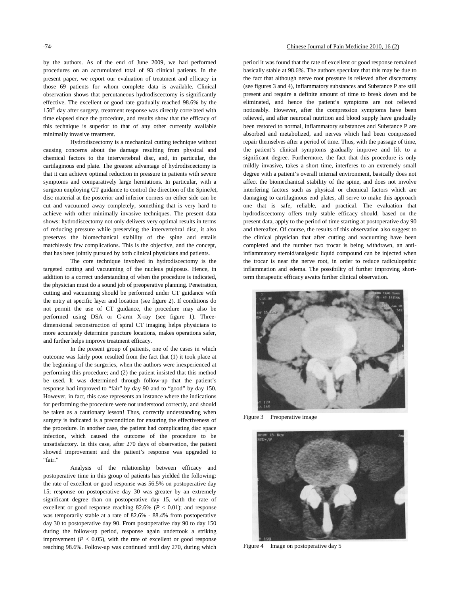by the authors. As of the end of June 2009, we had performed procedures on an accumulated total of 93 clinical patients. In the present paper, we report our evaluation of treatment and efficacy in those 69 patients for whom complete data is available. Clinical observation shows that percutaneous hydrodiscectomy is significantly effective. The excellent or good rate gradually reached 98.6% by the  $150<sup>th</sup>$  day after surgery, treatment response was directly correlated with time elapsed since the procedure, and results show that the efficacy of this technique is superior to that of any other currently available minimally invasive treatment.

Hydrodiscectomy is a mechanical cutting technique without causing concerns about the damage resulting from physical and chemical factors to the intervertebral disc, and, in particular, the cartilaginous end plate. The greatest advantage of hydrodiscectomy is that it can achieve optimal reduction in pressure in patients with severe symptoms and comparatively large herniations. In particular, with a surgeon employing CT guidance to control the direction of the SpineJet, disc material at the posterior and inferior corners on either side can be cut and vacuumed away completely, something that is very hard to achieve with other minimally invasive techniques. The present data shows: hydrodiscectomy not only delivers very optimal results in terms of reducing pressure while preserving the intervertebral disc, it also preserves the biomechanical stability of the spine and entails matchlessly few complications. This is the objective, and the concept, that has been jointly pursued by both clinical physicians and patients.

The core technique involved in hydrodiscectomy is the targeted cutting and vacuuming of the nucleus pulposus. Hence, in addition to a correct understanding of when the procedure is indicated, the physician must do a sound job of preoperative planning. Penetration, cutting and vacuuming should be performed under CT guidance with the entry at specific layer and location (see figure 2). If conditions do not permit the use of CT guidance, the procedure may also be performed using DSA or C-arm X-ray (see figure 1). Threedimensional reconstruction of spiral CT imaging helps physicians to more accurately determine puncture locations, makes operations safer, and further helps improve treatment efficacy.

In the present group of patients, one of the cases in which outcome was fairly poor resulted from the fact that (1) it took place at the beginning of the surgeries, when the authors were inexperienced at performing this procedure; and (2) the patient insisted that this method be used. It was determined through follow-up that the patient's response had improved to "fair" by day 90 and to "good" by day 150. However, in fact, this case represents an instance where the indications for performing the procedure were not understood correctly, and should be taken as a cautionary lesson! Thus, correctly understanding when surgery is indicated is a precondition for ensuring the effectiveness of the procedure. In another case, the patient had complicating disc space infection, which caused the outcome of the procedure to be unsatisfactory. In this case, after 270 days of observation, the patient showed improvement and the patient's response was upgraded to "fair."

Analysis of the relationship between efficacy and postoperative time in this group of patients has yielded the following: the rate of excellent or good response was 56.5% on postoperative day 15; response on postoperative day 30 was greater by an extremely significant degree than on postoperative day 15, with the rate of excellent or good response reaching  $82.6\%$  ( $P < 0.01$ ); and response was temporarily stable at a rate of 82.6% - 88.4% from postoperative day 30 to postoperative day 90. From postoperative day 90 to day 150 during the follow-up period, response again undertook a striking improvement  $(P < 0.05)$ , with the rate of excellent or good response reaching 98.6%. Follow-up was continued until day 270, during which

# 74 Chinese Journal of Pain Medicine 2010, 16 (2)

period it was found that the rate of excellent or good response remained basically stable at 98.6%. The authors speculate that this may be due to the fact that although nerve root pressure is relieved after discectomy (see figures 3 and 4), inflammatory substances and Substance P are still present and require a definite amount of time to break down and be eliminated, and hence the patient's symptoms are not relieved noticeably. However, after the compression symptoms have been relieved, and after neuronal nutrition and blood supply have gradually been restored to normal, inflammatory substances and Substance P are absorbed and metabolized, and nerves which had been compressed repair themselves after a period of time. Thus, with the passage of time, the patient's clinical symptoms gradually improve and lift to a significant degree. Furthermore, the fact that this procedure is only mildly invasive, takes a short time, interferes to an extremely small degree with a patient's overall internal environment, basically does not affect the biomechanical stability of the spine, and does not involve interfering factors such as physical or chemical factors which are damaging to cartilaginous end plates, all serve to make this approach one that is safe, reliable, and practical. The evaluation that hydrodiscectomy offers truly stable efficacy should, based on the present data, apply to the period of time starting at postoperative day 90 and thereafter. Of course, the results of this observation also suggest to the clinical physician that after cutting and vacuuming have been completed and the number two trocar is being withdrawn, an antiinflammatory steroid/analgesic liquid compound can be injected when the trocar is near the nerve root, in order to reduce radiculopathic inflammation and edema. The possibility of further improving shortterm therapeutic efficacy awaits further clinical observation.



Figure 3 Preoperative image



Figure 4 Image on postoperative day 5